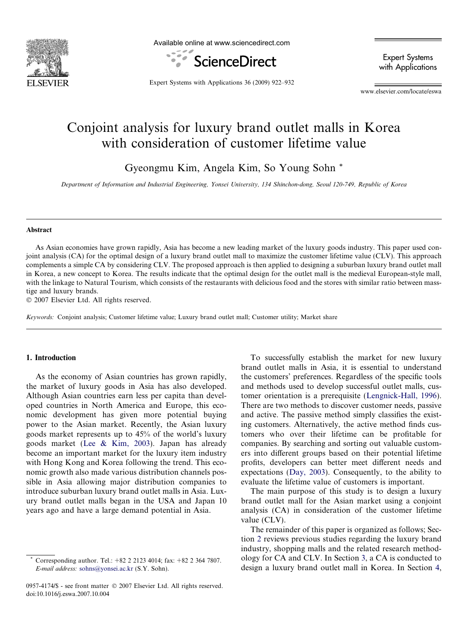

Available online at www.sciencedirect.com



Expert Systems with Applications

Expert Systems with Applications 36 (2009) 922–932

www.elsevier.com/locate/eswa

## Conjoint analysis for luxury brand outlet malls in Korea with consideration of customer lifetime value

Gyeongmu Kim, Angela Kim, So Young Sohn \*

Department of Information and Industrial Engineering, Yonsei University, 134 Shinchon-dong, Seoul 120-749, Republic of Korea

#### Abstract

As Asian economies have grown rapidly, Asia has become a new leading market of the luxury goods industry. This paper used conjoint analysis (CA) for the optimal design of a luxury brand outlet mall to maximize the customer lifetime value (CLV). This approach complements a simple CA by considering CLV. The proposed approach is then applied to designing a suburban luxury brand outlet mall in Korea, a new concept to Korea. The results indicate that the optimal design for the outlet mall is the medieval European-style mall, with the linkage to Natural Tourism, which consists of the restaurants with delicious food and the stores with similar ratio between masstige and luxury brands.

 $© 2007 Elsevier Ltd. All rights reserved.$ 

Keywords: Conjoint analysis; Customer lifetime value; Luxury brand outlet mall; Customer utility; Market share

## 1. Introduction

As the economy of Asian countries has grown rapidly, the market of luxury goods in Asia has also developed. Although Asian countries earn less per capita than developed countries in North America and Europe, this economic development has given more potential buying power to the Asian market. Recently, the Asian luxury goods market represents up to 45% of the world's luxury goods market [\(Lee & Kim, 2003\)](#page--1-0). Japan has already become an important market for the luxury item industry with Hong Kong and Korea following the trend. This economic growth also made various distribution channels possible in Asia allowing major distribution companies to introduce suburban luxury brand outlet malls in Asia. Luxury brand outlet malls began in the USA and Japan 10 years ago and have a large demand potential in Asia.

0957-4174/\$ - see front matter © 2007 Elsevier Ltd. All rights reserved. doi:10.1016/j.eswa.2007.10.004

To successfully establish the market for new luxury brand outlet malls in Asia, it is essential to understand the customers' preferences. Regardless of the specific tools and methods used to develop successful outlet malls, customer orientation is a prerequisite ([Lengnick-Hall, 1996\)](#page--1-0). There are two methods to discover customer needs, passive and active. The passive method simply classifies the existing customers. Alternatively, the active method finds customers who over their lifetime can be profitable for companies. By searching and sorting out valuable customers into different groups based on their potential lifetime profits, developers can better meet different needs and expectations [\(Day, 2003](#page--1-0)). Consequently, to the ability to evaluate the lifetime value of customers is important.

The main purpose of this study is to design a luxury brand outlet mall for the Asian market using a conjoint analysis (CA) in consideration of the customer lifetime value (CLV).

The remainder of this paper is organized as follows; Section [2](#page-1-0) reviews previous studies regarding the luxury brand industry, shopping malls and the related research methodology for CA and CLV. In Section [3](#page--1-0), a CA is conducted to design a luxury brand outlet mall in Korea. In Section [4](#page--1-0),

Corresponding author. Tel.: +82 2 2123 4014; fax: +82 2 364 7807. E-mail address: [sohns@yonsei.ac.kr](mailto:sohns@yonsei.ac.kr) (S.Y. Sohn).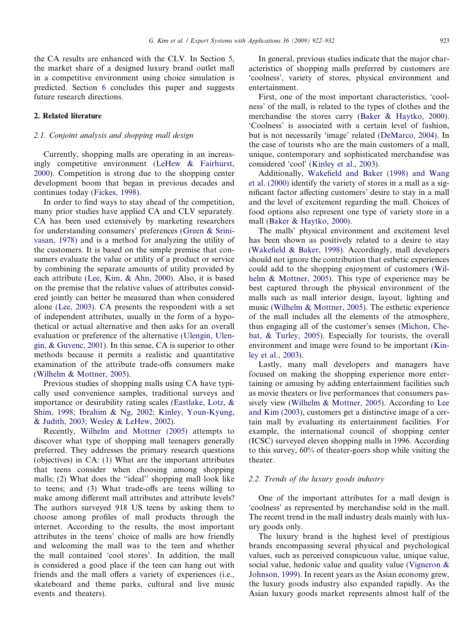<span id="page-1-0"></span>the CA results are enhanced with the CLV. In Section [5,](#page--1-0) the market share of a designed luxury brand outlet mall in a competitive environment using choice simulation is predicted. Section [6](#page--1-0) concludes this paper and suggests future research directions.

### 2. Related literature

### 2.1. Conjoint analysis and shopping mall design

Currently, shopping malls are operating in an increasingly competitive environment [\(LeHew & Fairhurst,](#page--1-0) [2000](#page--1-0)). Competition is strong due to the shopping center development boom that began in previous decades and continues today [\(Fickes, 1998\)](#page--1-0).

In order to find ways to stay ahead of the competition, many prior studies have applied CA and CLV separately. CA has been used extensively by marketing researchers for understanding consumers' preferences ([Green & Srini](#page--1-0)[vasan, 1978](#page--1-0)) and is a method for analyzing the utility of the customers. It is based on the simple premise that consumers evaluate the value or utility of a product or service by combining the separate amounts of utility provided by each attribute [\(Lee, Kim, & Ahn, 2000](#page--1-0)). Also, it is based on the premise that the relative values of attributes considered jointly can better be measured than when considered alone ([Lee, 2003\)](#page--1-0). CA presents the respondent with a set of independent attributes, usually in the form of a hypothetical or actual alternative and then asks for an overall evaluation or preference of the alternative ([Ulengin, Ulen](#page--1-0)[gin, & Guvenc, 2001](#page--1-0)). In this sense, CA is superior to other methods because it permits a realistic and quantitative examination of the attribute trade-offs consumers make ([Wilhelm & Mottner, 2005\)](#page--1-0).

Previous studies of shopping malls using CA have typically used convenience samples, traditional surveys and importance or desirability rating scales [\(Eastlake, Lotz, &](#page--1-0) [Shim, 1998; Ibrahim & Ng, 2002; Kinley, Youn-Kyung,](#page--1-0) [& Judith, 2003; Wesley & LeHew, 2002\)](#page--1-0).

Recently, [Wilhelm and Mottner \(2005\)](#page--1-0) attempts to discover what type of shopping mall teenagers generally preferred. They addresses the primary research questions (objectives) in CA: (1) What are the important attributes that teens consider when choosing among shopping malls; (2) What does the ''ideal'' shopping mall look like to teens; and (3) What trade-offs are teens willing to make among different mall attributes and attribute levels? The authors surveyed 918 US teens by asking them to choose among profiles of mall products through the internet. According to the results, the most important attributes in the teens' choice of malls are how friendly and welcoming the mall was to the teen and whether the mall contained 'cool stores'. In addition, the mall is considered a good place if the teen can hang out with friends and the mall offers a variety of experiences (i.e., skateboard and theme parks, cultural and live music events and theaters).

In general, previous studies indicate that the major characteristics of shopping malls preferred by customers are 'coolness', variety of stores, physical environment and entertainment.

First, one of the most important characteristics, 'coolness' of the mall, is related to the types of clothes and the merchandise the stores carry ([Baker & Haytko, 2000\)](#page--1-0). 'Coolness' is associated with a certain level of fashion, but is not necessarily 'image' related [\(DeMarco, 2004\)](#page--1-0). In the case of tourists who are the main customers of a mall, unique, contemporary and sophisticated merchandise was considered 'cool' ([Kinley et al., 2003\)](#page--1-0).

Additionally, [Wakefield and Baker \(1998\) and Wang](#page--1-0) [et al. \(2000\)](#page--1-0) identify the variety of stores in a mall as a significant factor affecting customers' desire to stay in a mall and the level of excitement regarding the mall. Choices of food options also represent one type of variety store in a mall ([Baker & Haytko, 2000\)](#page--1-0).

The malls' physical environment and excitement level has been shown as positively related to a desire to stay ([Wakefield & Baker, 1998\)](#page--1-0). Accordingly, mall developers should not ignore the contribution that esthetic experiences could add to the shopping enjoyment of customers ([Wil](#page--1-0)[helm & Mottner, 2005\)](#page--1-0). This type of experience may be best captured through the physical environment of the malls such as mall interior design, layout, lighting and music ([Wilhelm & Mottner, 2005](#page--1-0)). The esthetic experience of the mall includes all the elements of the atmosphere, thus engaging all of the customer's senses [\(Michon, Che](#page--1-0)[bat, & Turley, 2005\)](#page--1-0). Especially for tourists, the overall environment and image were found to be important ([Kin](#page--1-0)[ley et al., 2003](#page--1-0)).

Lastly, many mall developers and managers have focused on making the shopping experience more entertaining or amusing by adding entertainment facilities such as movie theaters or live performances that consumers passively view ([Wilhelm & Mottner, 2005](#page--1-0)). According to [Lee](#page--1-0) [and Kim \(2003\),](#page--1-0) customers get a distinctive image of a certain mall by evaluating its entertainment facilities. For example, the international council of shopping center (ICSC) surveyed eleven shopping malls in 1996. According to this survey, 60% of theater-goers shop while visiting the theater.

#### 2.2. Trends of the luxury goods industry

One of the important attributes for a mall design is 'coolness' as represented by merchandise sold in the mall. The recent trend in the mall industry deals mainly with luxury goods only.

The luxury brand is the highest level of prestigious brands encompassing several physical and psychological values, such as perceived conspicuous value, unique value, social value, hedonic value and quality value ([Vigneron &](#page--1-0) [Johnson, 1999](#page--1-0)). In recent years as the Asian economy grew, the luxury goods industry also expanded rapidly. As the Asian luxury goods market represents almost half of the